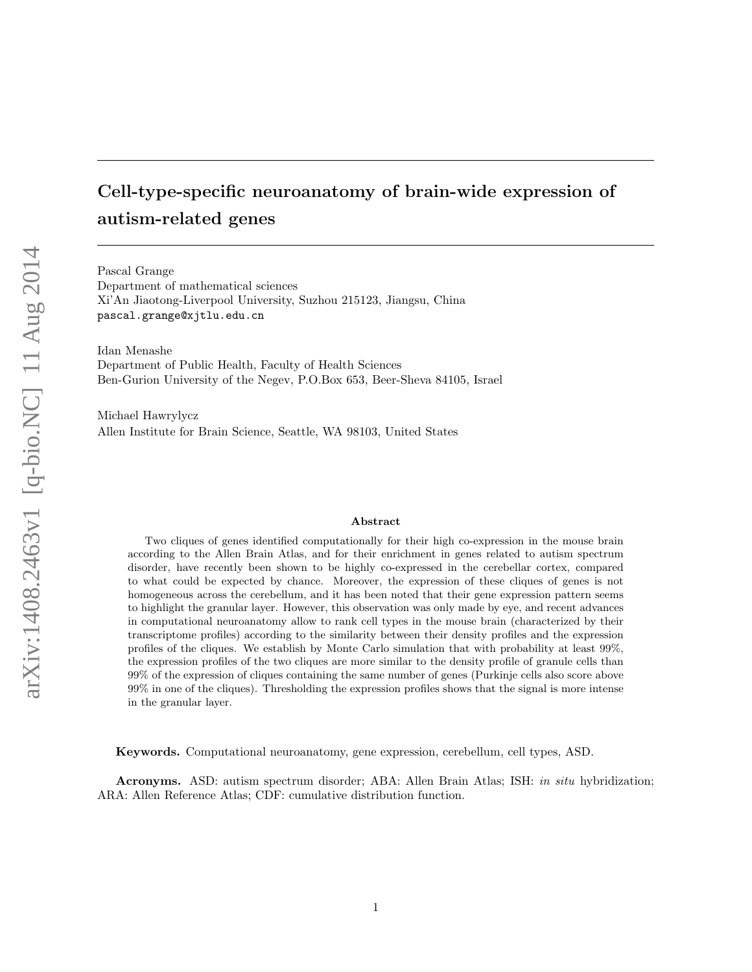# Cell-type-specific neuroanatomy of brain-wide expression of autism-related genes

Pascal Grange Department of mathematical sciences Xi'An Jiaotong-Liverpool University, Suzhou 215123, Jiangsu, China pascal.grange@xjtlu.edu.cn

Idan Menashe Department of Public Health, Faculty of Health Sciences Ben-Gurion University of the Negev, P.O.Box 653, Beer-Sheva 84105, Israel

Michael Hawrylycz Allen Institute for Brain Science, Seattle, WA 98103, United States

#### Abstract

Two cliques of genes identified computationally for their high co-expression in the mouse brain according to the Allen Brain Atlas, and for their enrichment in genes related to autism spectrum disorder, have recently been shown to be highly co-expressed in the cerebellar cortex, compared to what could be expected by chance. Moreover, the expression of these cliques of genes is not homogeneous across the cerebellum, and it has been noted that their gene expression pattern seems to highlight the granular layer. However, this observation was only made by eye, and recent advances in computational neuroanatomy allow to rank cell types in the mouse brain (characterized by their transcriptome profiles) according to the similarity between their density profiles and the expression profiles of the cliques. We establish by Monte Carlo simulation that with probability at least 99%, the expression profiles of the two cliques are more similar to the density profile of granule cells than 99% of the expression of cliques containing the same number of genes (Purkinje cells also score above 99% in one of the cliques). Thresholding the expression profiles shows that the signal is more intense in the granular layer.

Keywords. Computational neuroanatomy, gene expression, cerebellum, cell types, ASD.

Acronyms. ASD: autism spectrum disorder; ABA: Allen Brain Atlas; ISH: in situ hybridization; ARA: Allen Reference Atlas; CDF: cumulative distribution function.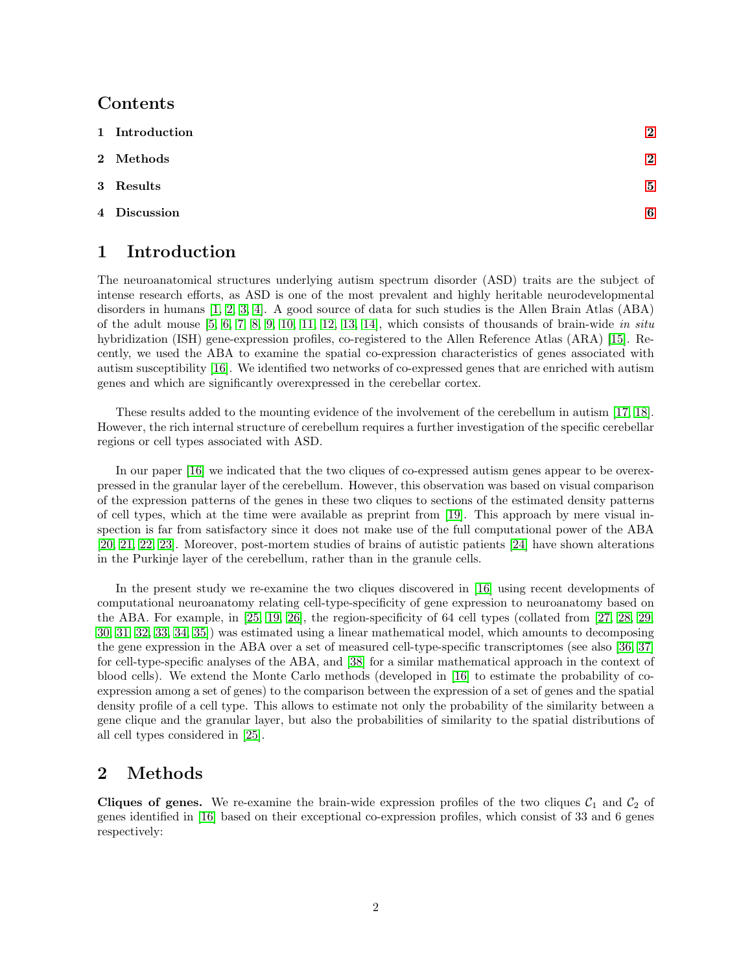### Contents

| 1 Introduction | $\overline{2}$ |
|----------------|----------------|
| 2 Methods      | $\overline{2}$ |
| 3 Results      | 5              |
| 4 Discussion   | 6              |
|                |                |

## <span id="page-1-0"></span>1 Introduction

The neuroanatomical structures underlying autism spectrum disorder (ASD) traits are the subject of intense research efforts, as ASD is one of the most prevalent and highly heritable neurodevelopmental disorders in humans [\[1,](#page-10-0) [2,](#page-10-1) [3,](#page-10-2) [4\]](#page-10-3). A good source of data for such studies is the Allen Brain Atlas (ABA) of the adult mouse  $[5, 6, 7, 8, 9, 10, 11, 12, 13, 14]$  $[5, 6, 7, 8, 9, 10, 11, 12, 13, 14]$  $[5, 6, 7, 8, 9, 10, 11, 12, 13, 14]$  $[5, 6, 7, 8, 9, 10, 11, 12, 13, 14]$  $[5, 6, 7, 8, 9, 10, 11, 12, 13, 14]$  $[5, 6, 7, 8, 9, 10, 11, 12, 13, 14]$  $[5, 6, 7, 8, 9, 10, 11, 12, 13, 14]$  $[5, 6, 7, 8, 9, 10, 11, 12, 13, 14]$  $[5, 6, 7, 8, 9, 10, 11, 12, 13, 14]$  $[5, 6, 7, 8, 9, 10, 11, 12, 13, 14]$ , which consists of thousands of brain-wide in situ hybridization (ISH) gene-expression profiles, co-registered to the Allen Reference Atlas (ARA) [\[15\]](#page-10-14). Recently, we used the ABA to examine the spatial co-expression characteristics of genes associated with autism susceptibility [\[16\]](#page-10-15). We identified two networks of co-expressed genes that are enriched with autism genes and which are significantly overexpressed in the cerebellar cortex.

These results added to the mounting evidence of the involvement of the cerebellum in autism [\[17,](#page-10-16) [18\]](#page-10-17). However, the rich internal structure of cerebellum requires a further investigation of the specific cerebellar regions or cell types associated with ASD.

In our paper [\[16\]](#page-10-15) we indicated that the two cliques of co-expressed autism genes appear to be overexpressed in the granular layer of the cerebellum. However, this observation was based on visual comparison of the expression patterns of the genes in these two cliques to sections of the estimated density patterns of cell types, which at the time were available as preprint from [\[19\]](#page-10-18). This approach by mere visual inspection is far from satisfactory since it does not make use of the full computational power of the ABA [\[20,](#page-10-19) [21,](#page-11-0) [22,](#page-11-1) [23\]](#page-11-2). Moreover, post-mortem studies of brains of autistic patients [\[24\]](#page-11-3) have shown alterations in the Purkinje layer of the cerebellum, rather than in the granule cells.

In the present study we re-examine the two cliques discovered in [\[16\]](#page-10-15) using recent developments of computational neuroanatomy relating cell-type-specificity of gene expression to neuroanatomy based on the ABA. For example, in [\[25,](#page-11-4) [19,](#page-10-18) [26\]](#page-11-5), the region-specificity of 64 cell types (collated from [\[27,](#page-11-6) [28,](#page-11-7) [29,](#page-11-8) [30,](#page-11-9) [31,](#page-11-10) [32,](#page-11-11) [33,](#page-11-12) [34,](#page-11-13) [35\]](#page-11-14)) was estimated using a linear mathematical model, which amounts to decomposing the gene expression in the ABA over a set of measured cell-type-specific transcriptomes (see also [\[36,](#page-11-15) [37\]](#page-11-16) for cell-type-specific analyses of the ABA, and [\[38\]](#page-11-17) for a similar mathematical approach in the context of blood cells). We extend the Monte Carlo methods (developed in [\[16\]](#page-10-15) to estimate the probability of coexpression among a set of genes) to the comparison between the expression of a set of genes and the spatial density profile of a cell type. This allows to estimate not only the probability of the similarity between a gene clique and the granular layer, but also the probabilities of similarity to the spatial distributions of all cell types considered in [\[25\]](#page-11-4).

#### <span id="page-1-1"></span>2 Methods

**Cliques of genes.** We re-examine the brain-wide expression profiles of the two cliques  $C_1$  and  $C_2$  of genes identified in [\[16\]](#page-10-15) based on their exceptional co-expression profiles, which consist of 33 and 6 genes respectively: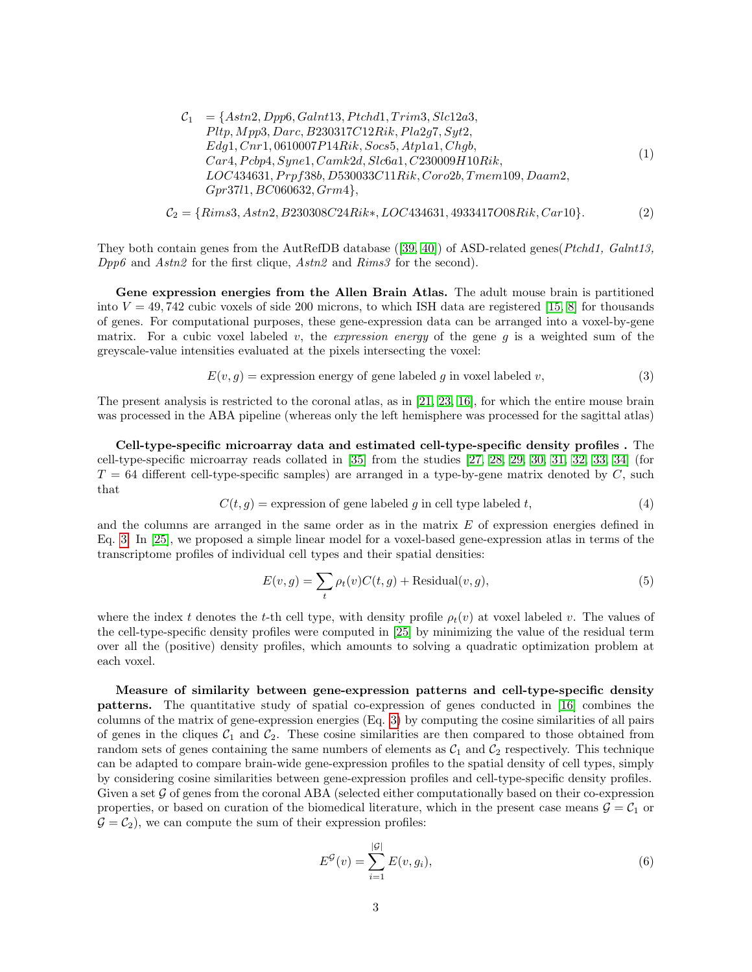$$
C_1 = \{Astn2, Dpp6, Galnt13, Ptchd1, Trim3, Slc12a3, Pltp, Mpp3, Darc, B230317C12Rik, Pla2g7, Syt2, Edg1, Crn1, 0610007P14Rik, Socs5, Atpla1, Chgb, Car4, Pcbp4, Syne1, Camk2d, Slc6a1, C230009H10Rik, LOC434631, Prpf38b, D530033C11Rik, Coro2b, Tmem109, Daam2, Gpr37l1, BC060632, Grm4\},
$$
 (1)

$$
C_2 = \{Rims3, Astn2, B230308C24Rik*, LOC434631, 4933417O08Rik, Car10\}.
$$
 (2)

They both contain genes from the AutRefDB database ([\[39,](#page-12-0) [40\]](#page-12-1)) of ASD-related genes( $Ptchd1$ ,  $Galnt13$ ,  $Dpp6$  and  $Astn2$  for the first clique,  $Astn2$  and  $Rims3$  for the second).

Gene expression energies from the Allen Brain Atlas. The adult mouse brain is partitioned into  $V = 49,742$  cubic voxels of side 200 microns, to which ISH data are registered [\[15,](#page-10-14) [8\]](#page-10-7) for thousands of genes. For computational purposes, these gene-expression data can be arranged into a voxel-by-gene matrix. For a cubic voxel labeled v, the *expression energy* of the gene g is a weighted sum of the greyscale-value intensities evaluated at the pixels intersecting the voxel:

<span id="page-2-0"></span>
$$
E(v, g) = \text{expression energy of gene labeled } g \text{ in voxel labeled } v,\tag{3}
$$

The present analysis is restricted to the coronal atlas, as in [\[21,](#page-11-0) [23,](#page-11-2) [16\]](#page-10-15), for which the entire mouse brain was processed in the ABA pipeline (whereas only the left hemisphere was processed for the sagittal atlas)

Cell-type-specific microarray data and estimated cell-type-specific density profiles . The cell-type-specific microarray reads collated in [\[35\]](#page-11-14) from the studies [\[27,](#page-11-6) [28,](#page-11-7) [29,](#page-11-8) [30,](#page-11-9) [31,](#page-11-10) [32,](#page-11-11) [33,](#page-11-12) [34\]](#page-11-13) (for  $T = 64$  different cell-type-specific samples) are arranged in a type-by-gene matrix denoted by C, such that

$$
C(t,g) = \text{expression of gene labeled } g \text{ in cell type labeled } t,\tag{4}
$$

and the columns are arranged in the same order as in the matrix E of expression energies defined in Eq. [3.](#page-2-0) In [\[25\]](#page-11-4), we proposed a simple linear model for a voxel-based gene-expression atlas in terms of the transcriptome profiles of individual cell types and their spatial densities:

<span id="page-2-1"></span>
$$
E(v,g) = \sum_{t} \rho_t(v)C(t,g) + \text{Residual}(v,g),\tag{5}
$$

where the index t denotes the t-th cell type, with density profile  $\rho_t(v)$  at voxel labeled v. The values of the cell-type-specific density profiles were computed in [\[25\]](#page-11-4) by minimizing the value of the residual term over all the (positive) density profiles, which amounts to solving a quadratic optimization problem at each voxel.

Measure of similarity between gene-expression patterns and cell-type-specific density patterns. The quantitative study of spatial co-expression of genes conducted in [\[16\]](#page-10-15) combines the columns of the matrix of gene-expression energies (Eq. [3\)](#page-2-0) by computing the cosine similarities of all pairs of genes in the cliques  $C_1$  and  $C_2$ . These cosine similarities are then compared to those obtained from random sets of genes containing the same numbers of elements as  $C_1$  and  $C_2$  respectively. This technique can be adapted to compare brain-wide gene-expression profiles to the spatial density of cell types, simply by considering cosine similarities between gene-expression profiles and cell-type-specific density profiles. Given a set  $\mathcal G$  of genes from the coronal ABA (selected either computationally based on their co-expression properties, or based on curation of the biomedical literature, which in the present case means  $\mathcal{G} = \mathcal{C}_1$  or  $\mathcal{G} = \mathcal{C}_2$ , we can compute the sum of their expression profiles:

$$
E^{\mathcal{G}}(v) = \sum_{i=1}^{|\mathcal{G}|} E(v, g_i),
$$
\n(6)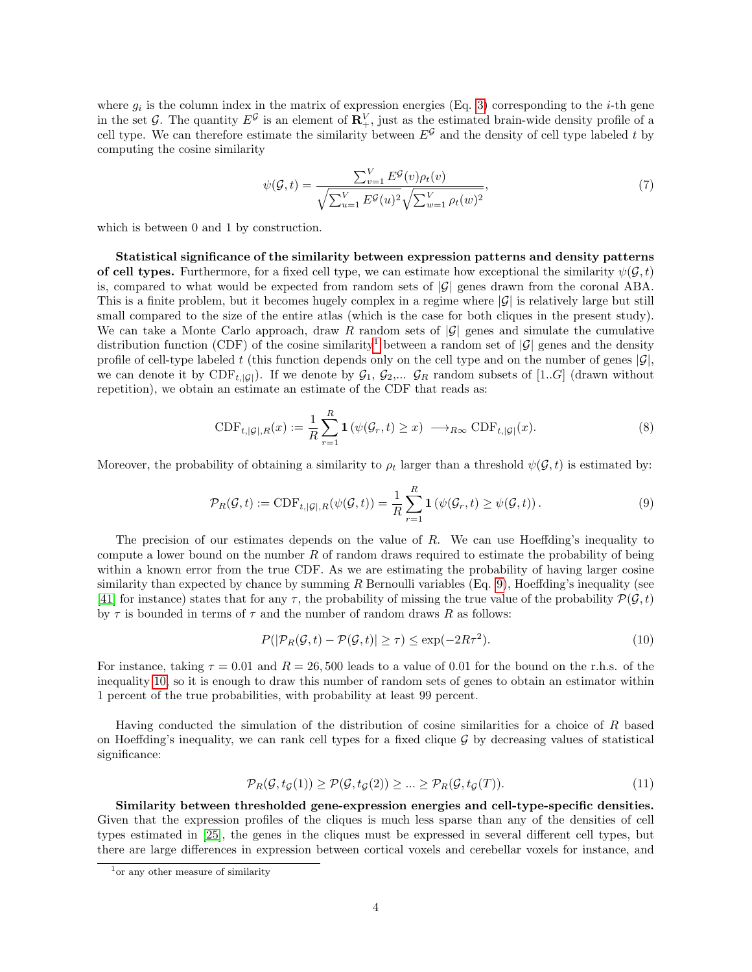where  $g_i$  is the column index in the matrix of expression energies (Eq. [3\)](#page-2-0) corresponding to the *i*-th gene in the set G. The quantity  $E^{\mathcal{G}}$  is an element of  $\mathbf{R}^V_+$ , just as the estimated brain-wide density profile of a cell type. We can therefore estimate the similarity between  $E^{\mathcal{G}}$  and the density of cell type labeled t by computing the cosine similarity

<span id="page-3-3"></span>
$$
\psi(\mathcal{G},t) = \frac{\sum_{v=1}^{V} E^{\mathcal{G}}(v)\rho_t(v)}{\sqrt{\sum_{u=1}^{V} E^{\mathcal{G}}(u)^2} \sqrt{\sum_{w=1}^{V} \rho_t(w)^2}},\tag{7}
$$

which is between 0 and 1 by construction.

Statistical significance of the similarity between expression patterns and density patterns of cell types. Furthermore, for a fixed cell type, we can estimate how exceptional the similarity  $\psi(\mathcal{G}, t)$ is, compared to what would be expected from random sets of  $|\mathcal{G}|$  genes drawn from the coronal ABA. This is a finite problem, but it becomes hugely complex in a regime where  $|\mathcal{G}|$  is relatively large but still small compared to the size of the entire atlas (which is the case for both cliques in the present study). We can take a Monte Carlo approach, draw R random sets of  $|\mathcal{G}|$  genes and simulate the cumulative distribution function (CDF) of the cosine similarity<sup>[1](#page-3-0)</sup> between a random set of  $|\mathcal{G}|$  genes and the density profile of cell-type labeled t (this function depends only on the cell type and on the number of genes  $|\mathcal{G}|$ , we can denote it by  $CDF_{t,|\mathcal{G}|}$ ). If we denote by  $\mathcal{G}_1$ ,  $\mathcal{G}_2,...$   $\mathcal{G}_R$  random subsets of [1.*.G*] (drawn without repetition), we obtain an estimate an estimate of the CDF that reads as:

$$
\text{CDF}_{t,|\mathcal{G}|,R}(x) := \frac{1}{R} \sum_{r=1}^{R} \mathbf{1} \left( \psi(\mathcal{G}_r, t) \ge x \right) \longrightarrow_{R_{\infty}} \text{CDF}_{t,|\mathcal{G}|}(x). \tag{8}
$$

Moreover, the probability of obtaining a similarity to  $\rho_t$  larger than a threshold  $\psi(\mathcal{G}, t)$  is estimated by:

<span id="page-3-1"></span>
$$
\mathcal{P}_R(\mathcal{G}, t) := \text{CDF}_{t, |\mathcal{G}|, R}(\psi(\mathcal{G}, t)) = \frac{1}{R} \sum_{r=1}^R \mathbf{1} \left( \psi(\mathcal{G}_r, t) \ge \psi(\mathcal{G}, t) \right).
$$
\n(9)

The precision of our estimates depends on the value of  $R$ . We can use Hoeffding's inequality to compute a lower bound on the number  $R$  of random draws required to estimate the probability of being within a known error from the true CDF. As we are estimating the probability of having larger cosine similarity than expected by chance by summing  $R$  Bernoulli variables (Eq. [9\)](#page-3-1), Hoeffding's inequality (see [\[41\]](#page-12-2) for instance) states that for any  $\tau$ , the probability of missing the true value of the probability  $\mathcal{P}(\mathcal{G}, t)$ by  $\tau$  is bounded in terms of  $\tau$  and the number of random draws R as follows:

<span id="page-3-2"></span>
$$
P(|\mathcal{P}_R(\mathcal{G}, t) - \mathcal{P}(\mathcal{G}, t)| \ge \tau) \le \exp(-2R\tau^2). \tag{10}
$$

For instance, taking  $\tau = 0.01$  and  $R = 26,500$  leads to a value of 0.01 for the bound on the r.h.s. of the inequality [10,](#page-3-2) so it is enough to draw this number of random sets of genes to obtain an estimator within 1 percent of the true probabilities, with probability at least 99 percent.

Having conducted the simulation of the distribution of cosine similarities for a choice of R based on Hoeffding's inequality, we can rank cell types for a fixed clique  $\mathcal G$  by decreasing values of statistical significance:

<span id="page-3-4"></span>
$$
\mathcal{P}_R(\mathcal{G}, t_{\mathcal{G}}(1)) \ge \mathcal{P}(\mathcal{G}, t_{\mathcal{G}}(2)) \ge \dots \ge \mathcal{P}_R(\mathcal{G}, t_{\mathcal{G}}(T)).
$$
\n
$$
(11)
$$

Similarity between thresholded gene-expression energies and cell-type-specific densities. Given that the expression profiles of the cliques is much less sparse than any of the densities of cell types estimated in [\[25\]](#page-11-4), the genes in the cliques must be expressed in several different cell types, but there are large differences in expression between cortical voxels and cerebellar voxels for instance, and

<span id="page-3-0"></span> $1$ <sup>or</sup> any other measure of similarity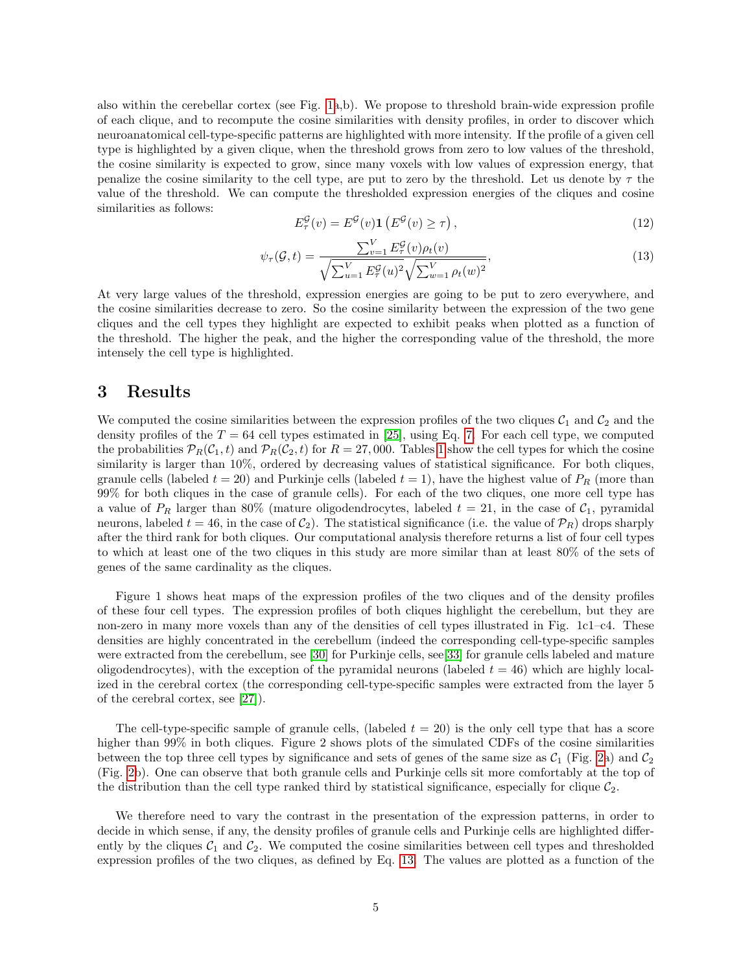also within the cerebellar cortex (see Fig. [1a](#page-6-0),b). We propose to threshold brain-wide expression profile of each clique, and to recompute the cosine similarities with density profiles, in order to discover which neuroanatomical cell-type-specific patterns are highlighted with more intensity. If the profile of a given cell type is highlighted by a given clique, when the threshold grows from zero to low values of the threshold, the cosine similarity is expected to grow, since many voxels with low values of expression energy, that penalize the cosine similarity to the cell type, are put to zero by the threshold. Let us denote by  $\tau$  the value of the threshold. We can compute the thresholded expression energies of the cliques and cosine similarities as follows:

$$
E_{\tau}^{\mathcal{G}}(v) = E^{\mathcal{G}}(v) \mathbf{1} \left( E^{\mathcal{G}}(v) \ge \tau \right), \tag{12}
$$

<span id="page-4-1"></span>
$$
\psi_{\tau}(\mathcal{G}, t) = \frac{\sum_{v=1}^{V} E_{\tau}^{\mathcal{G}}(v)\rho_t(v)}{\sqrt{\sum_{u=1}^{V} E_{\tau}^{\mathcal{G}}(u)^2} \sqrt{\sum_{w=1}^{V} \rho_t(w)^2}},
$$
\n(13)

At very large values of the threshold, expression energies are going to be put to zero everywhere, and the cosine similarities decrease to zero. So the cosine similarity between the expression of the two gene cliques and the cell types they highlight are expected to exhibit peaks when plotted as a function of the threshold. The higher the peak, and the higher the corresponding value of the threshold, the more intensely the cell type is highlighted.

#### <span id="page-4-0"></span>3 Results

We computed the cosine similarities between the expression profiles of the two cliques  $C_1$  and  $C_2$  and the density profiles of the  $T = 64$  cell types estimated in [\[25\]](#page-11-4), using Eq. [7.](#page-3-3) For each cell type, we computed the probabilities  $\mathcal{P}_R(C_1,t)$  and  $\mathcal{P}_R(C_2,t)$  for  $R=27,000$ . Tables [1](#page-5-1) show the cell types for which the cosine similarity is larger than 10%, ordered by decreasing values of statistical significance. For both cliques, granule cells (labeled  $t = 20$ ) and Purkinje cells (labeled  $t = 1$ ), have the highest value of  $P_R$  (more than 99% for both cliques in the case of granule cells). For each of the two cliques, one more cell type has a value of  $P_R$  larger than 80% (mature oligodendrocytes, labeled  $t = 21$ , in the case of  $C_1$ , pyramidal neurons, labeled  $t = 46$ , in the case of  $C_2$ ). The statistical significance (i.e. the value of  $\mathcal{P}_R$ ) drops sharply after the third rank for both cliques. Our computational analysis therefore returns a list of four cell types to which at least one of the two cliques in this study are more similar than at least 80% of the sets of genes of the same cardinality as the cliques.

Figure 1 shows heat maps of the expression profiles of the two cliques and of the density profiles of these four cell types. The expression profiles of both cliques highlight the cerebellum, but they are non-zero in many more voxels than any of the densities of cell types illustrated in Fig. 1c1–c4. These densities are highly concentrated in the cerebellum (indeed the corresponding cell-type-specific samples were extracted from the cerebellum, see [\[30\]](#page-11-9) for Purkinje cells, see [\[33\]](#page-11-12) for granule cells labeled and mature oligodendrocytes), with the exception of the pyramidal neurons (labeled  $t = 46$ ) which are highly localized in the cerebral cortex (the corresponding cell-type-specific samples were extracted from the layer 5 of the cerebral cortex, see [\[27\]](#page-11-6)).

The cell-type-specific sample of granule cells, (labeled  $t = 20$ ) is the only cell type that has a score higher than 99% in both cliques. Figure 2 shows plots of the simulated CDFs of the cosine similarities between the top three cell types by significance and sets of genes of the same size as  $C_1$  (Fig. [2a](#page-7-0)) and  $C_2$ (Fig. [2b](#page-7-0)). One can observe that both granule cells and Purkinje cells sit more comfortably at the top of the distribution than the cell type ranked third by statistical significance, especially for clique  $C_2$ .

We therefore need to vary the contrast in the presentation of the expression patterns, in order to decide in which sense, if any, the density profiles of granule cells and Purkinje cells are highlighted differently by the cliques  $C_1$  and  $C_2$ . We computed the cosine similarities between cell types and thresholded expression profiles of the two cliques, as defined by Eq. [13.](#page-4-1) The values are plotted as a function of the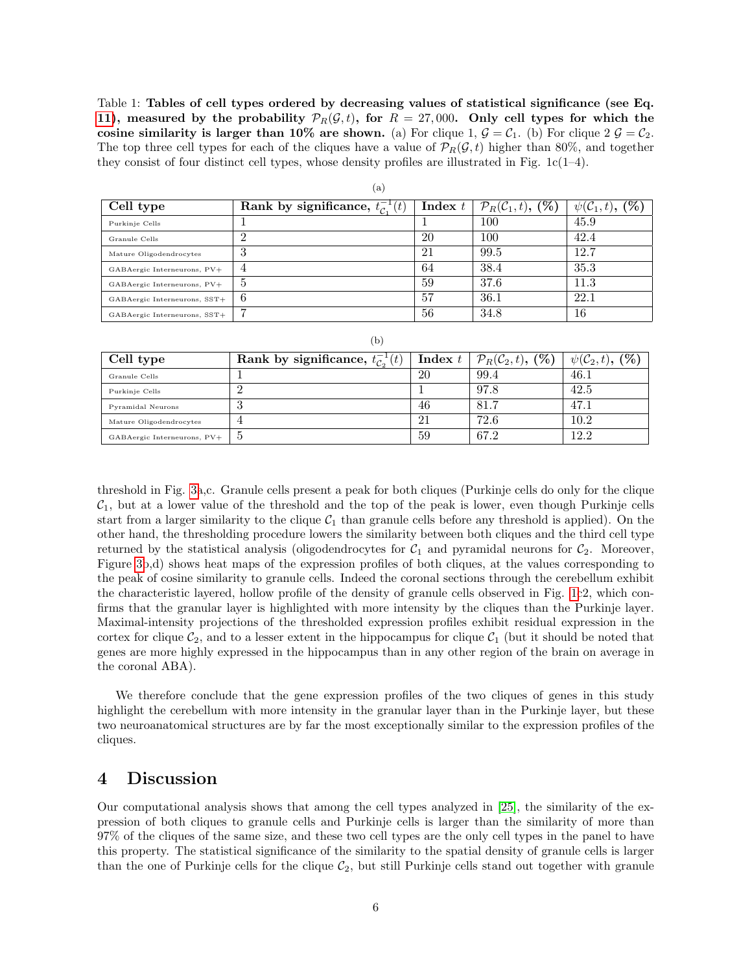Table 1: Tables of cell types ordered by decreasing values of statistical significance (see Eq. [11\)](#page-3-4), measured by the probability  $\mathcal{P}_R(\mathcal{G}, t)$ , for  $R = 27,000$ . Only cell types for which the cosine similarity is larger than 10% are shown. (a) For clique 1,  $\mathcal{G} = \mathcal{C}_1$ . (b) For clique 2  $\mathcal{G} = \mathcal{C}_2$ . The top three cell types for each of the cliques have a value of  $\mathcal{P}_R(\mathcal{G},t)$  higher than 80%, and together they consist of four distinct cell types, whose density profiles are illustrated in Fig.  $1c(1-4)$ .

| Cell type                    | Rank by significance, $t_c^{-1}(t)$ | Index $t$ | $\mathcal{P}_R(\mathcal{C}_1,t)$ , $(\%)$ | $\psi({\cal C}_1,t),\, ({\bf \%})$ |  |  |  |
|------------------------------|-------------------------------------|-----------|-------------------------------------------|------------------------------------|--|--|--|
| Purkinje Cells               |                                     |           | 100                                       | 45.9                               |  |  |  |
| Granule Cells                |                                     | 20        | 100                                       | 42.4                               |  |  |  |
| Mature Oligodendrocytes      | $\cdot$ 1                           | 21        | 99.5                                      | 12.7                               |  |  |  |
| GABAergic Interneurons, PV+  |                                     | 64        | 38.4                                      | 35.3                               |  |  |  |
| GABAergic Interneurons, PV+  | Ð                                   | 59        | 37.6                                      | 11.3                               |  |  |  |
| GABAergic Interneurons, SST+ | b                                   | 57        | 36.1                                      | 22.1                               |  |  |  |
| GABAergic Interneurons, SST+ |                                     | 56        | 34.8                                      | 16                                 |  |  |  |

(a)

| ۰.<br>٧ |
|---------|

<span id="page-5-1"></span>

| Cell type                   | Rank by significance, $t_{\mathcal{C}_2}^{-1}(t)$ | Index $t$ | $\mathcal{P}_R(\mathcal{C}_2,t)$ , $(\%)$ | $\psi(\mathcal{C}_2,t),$ (%) |
|-----------------------------|---------------------------------------------------|-----------|-------------------------------------------|------------------------------|
| Granule Cells               |                                                   | 20        | 99.4                                      | 46.1                         |
| Purkinje Cells              |                                                   |           | 97.8                                      | 42.5                         |
| Pyramidal Neurons           | .,                                                | 46        | 81.7                                      | 47.1                         |
| Mature Oligodendrocytes     |                                                   | ΖI        | 72.6                                      | $10.2\,$                     |
| GABAergic Interneurons, PV+ |                                                   | 59        | 67.2                                      | 12.2                         |

threshold in Fig. [3a](#page-9-0),c. Granule cells present a peak for both cliques (Purkinje cells do only for the clique  $C_1$ , but at a lower value of the threshold and the top of the peak is lower, even though Purkinje cells start from a larger similarity to the clique  $C_1$  than granule cells before any threshold is applied). On the other hand, the thresholding procedure lowers the similarity between both cliques and the third cell type returned by the statistical analysis (oligodendrocytes for  $C_1$  and pyramidal neurons for  $C_2$ . Moreover, Figure [3b](#page-9-0),d) shows heat maps of the expression profiles of both cliques, at the values corresponding to the peak of cosine similarity to granule cells. Indeed the coronal sections through the cerebellum exhibit the characteristic layered, hollow profile of the density of granule cells observed in Fig. [1c](#page-6-0)2, which confirms that the granular layer is highlighted with more intensity by the cliques than the Purkinje layer. Maximal-intensity projections of the thresholded expression profiles exhibit residual expression in the cortex for clique  $C_2$ , and to a lesser extent in the hippocampus for clique  $C_1$  (but it should be noted that genes are more highly expressed in the hippocampus than in any other region of the brain on average in the coronal ABA).

We therefore conclude that the gene expression profiles of the two cliques of genes in this study highlight the cerebellum with more intensity in the granular layer than in the Purkinje layer, but these two neuroanatomical structures are by far the most exceptionally similar to the expression profiles of the cliques.

#### <span id="page-5-0"></span>4 Discussion

Our computational analysis shows that among the cell types analyzed in [\[25\]](#page-11-4), the similarity of the expression of both cliques to granule cells and Purkinje cells is larger than the similarity of more than 97% of the cliques of the same size, and these two cell types are the only cell types in the panel to have this property. The statistical significance of the similarity to the spatial density of granule cells is larger than the one of Purkinje cells for the clique  $C_2$ , but still Purkinje cells stand out together with granule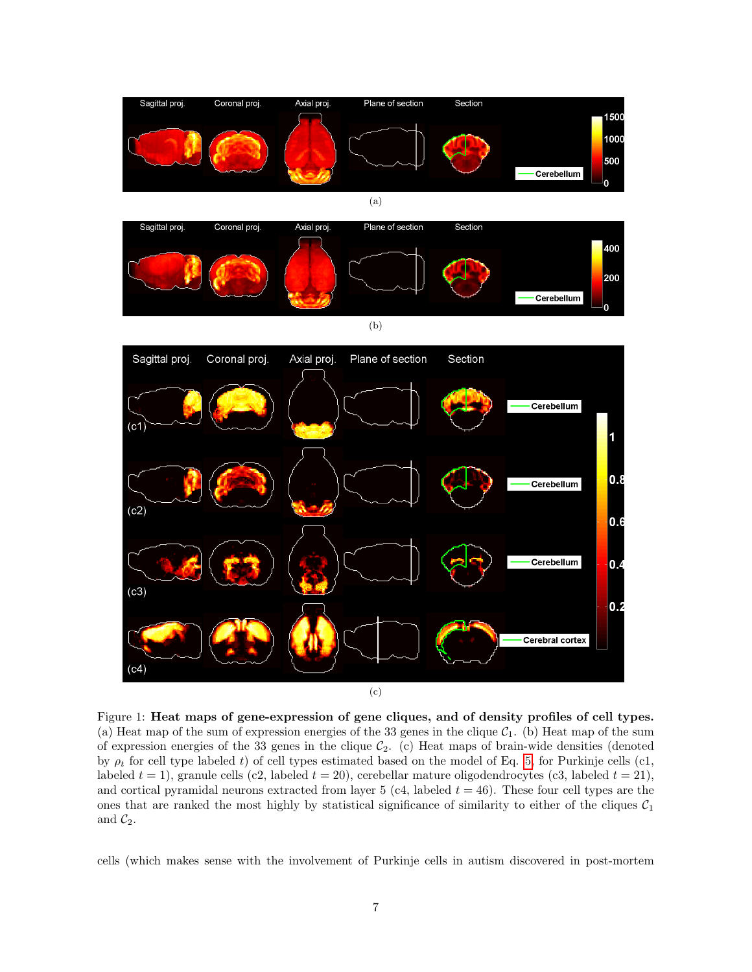<span id="page-6-0"></span>



(b)



Figure 1: Heat maps of gene-expression of gene cliques, and of density profiles of cell types. (a) Heat map of the sum of expression energies of the 33 genes in the clique  $C_1$ . (b) Heat map of the sum of expression energies of the 33 genes in the clique  $C_2$ . (c) Heat maps of brain-wide densities (denoted by  $\rho_t$  for cell type labeled t) of cell types estimated based on the model of Eq. [5,](#page-2-1) for Purkinje cells (c1, labeled  $t = 1$ ), granule cells (c2, labeled  $t = 20$ ), cerebellar mature oligodendrocytes (c3, labeled  $t = 21$ ), and cortical pyramidal neurons extracted from layer 5 (c4, labeled  $t = 46$ ). These four cell types are the ones that are ranked the most highly by statistical significance of similarity to either of the cliques  $C_1$ and  $\mathcal{C}_2$ .

cells (which makes sense with the involvement of Purkinje cells in autism discovered in post-mortem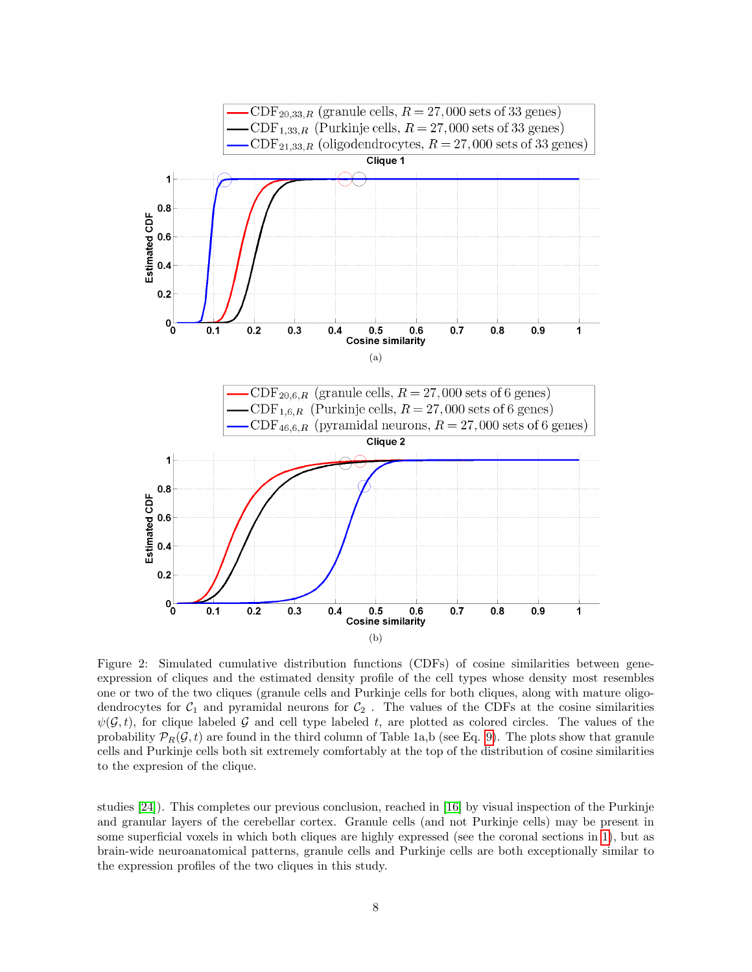<span id="page-7-0"></span>

Figure 2: Simulated cumulative distribution functions (CDFs) of cosine similarities between geneexpression of cliques and the estimated density profile of the cell types whose density most resembles one or two of the two cliques (granule cells and Purkinje cells for both cliques, along with mature oligodendrocytes for  $C_1$  and pyramidal neurons for  $C_2$ . The values of the CDFs at the cosine similarities  $\psi(\mathcal{G},t)$ , for clique labeled G and cell type labeled t, are plotted as colored circles. The values of the probability  $\mathcal{P}_R(\mathcal{G}, t)$  are found in the third column of Table 1a,b (see Eq. [9\)](#page-3-1). The plots show that granule cells and Purkinje cells both sit extremely comfortably at the top of the distribution of cosine similarities to the expresion of the clique.

studies [\[24\]](#page-11-3)). This completes our previous conclusion, reached in [\[16\]](#page-10-15) by visual inspection of the Purkinje and granular layers of the cerebellar cortex. Granule cells (and not Purkinje cells) may be present in some superficial voxels in which both cliques are highly expressed (see the coronal sections in [1\)](#page-6-0), but as brain-wide neuroanatomical patterns, granule cells and Purkinje cells are both exceptionally similar to the expression profiles of the two cliques in this study.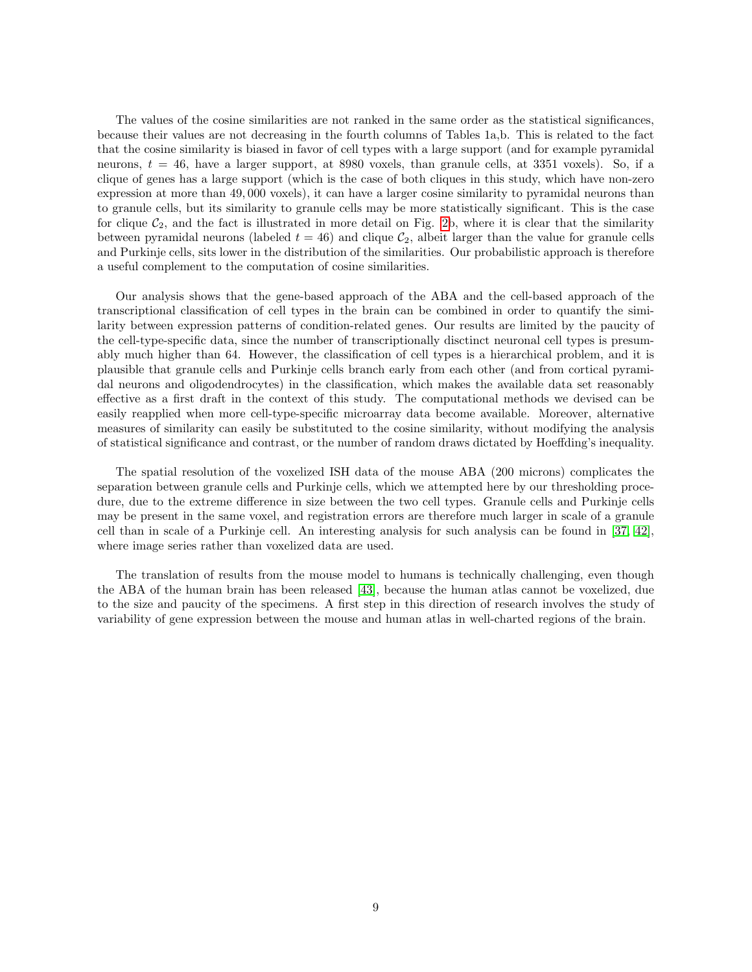The values of the cosine similarities are not ranked in the same order as the statistical significances, because their values are not decreasing in the fourth columns of Tables 1a,b. This is related to the fact that the cosine similarity is biased in favor of cell types with a large support (and for example pyramidal neurons,  $t = 46$ , have a larger support, at 8980 voxels, than granule cells, at 3351 voxels). So, if a clique of genes has a large support (which is the case of both cliques in this study, which have non-zero expression at more than 49, 000 voxels), it can have a larger cosine similarity to pyramidal neurons than to granule cells, but its similarity to granule cells may be more statistically significant. This is the case for clique  $C_2$ , and the fact is illustrated in more detail on Fig. [2b](#page-7-0), where it is clear that the similarity between pyramidal neurons (labeled  $t = 46$ ) and clique  $C_2$ , albeit larger than the value for granule cells and Purkinje cells, sits lower in the distribution of the similarities. Our probabilistic approach is therefore a useful complement to the computation of cosine similarities.

Our analysis shows that the gene-based approach of the ABA and the cell-based approach of the transcriptional classification of cell types in the brain can be combined in order to quantify the similarity between expression patterns of condition-related genes. Our results are limited by the paucity of the cell-type-specific data, since the number of transcriptionally disctinct neuronal cell types is presumably much higher than 64. However, the classification of cell types is a hierarchical problem, and it is plausible that granule cells and Purkinje cells branch early from each other (and from cortical pyramidal neurons and oligodendrocytes) in the classification, which makes the available data set reasonably effective as a first draft in the context of this study. The computational methods we devised can be easily reapplied when more cell-type-specific microarray data become available. Moreover, alternative measures of similarity can easily be substituted to the cosine similarity, without modifying the analysis of statistical significance and contrast, or the number of random draws dictated by Hoeffding's inequality.

The spatial resolution of the voxelized ISH data of the mouse ABA (200 microns) complicates the separation between granule cells and Purkinje cells, which we attempted here by our thresholding procedure, due to the extreme difference in size between the two cell types. Granule cells and Purkinje cells may be present in the same voxel, and registration errors are therefore much larger in scale of a granule cell than in scale of a Purkinje cell. An interesting analysis for such analysis can be found in [\[37,](#page-11-16) [42\]](#page-12-3), where image series rather than voxelized data are used.

The translation of results from the mouse model to humans is technically challenging, even though the ABA of the human brain has been released [\[43\]](#page-12-4), because the human atlas cannot be voxelized, due to the size and paucity of the specimens. A first step in this direction of research involves the study of variability of gene expression between the mouse and human atlas in well-charted regions of the brain.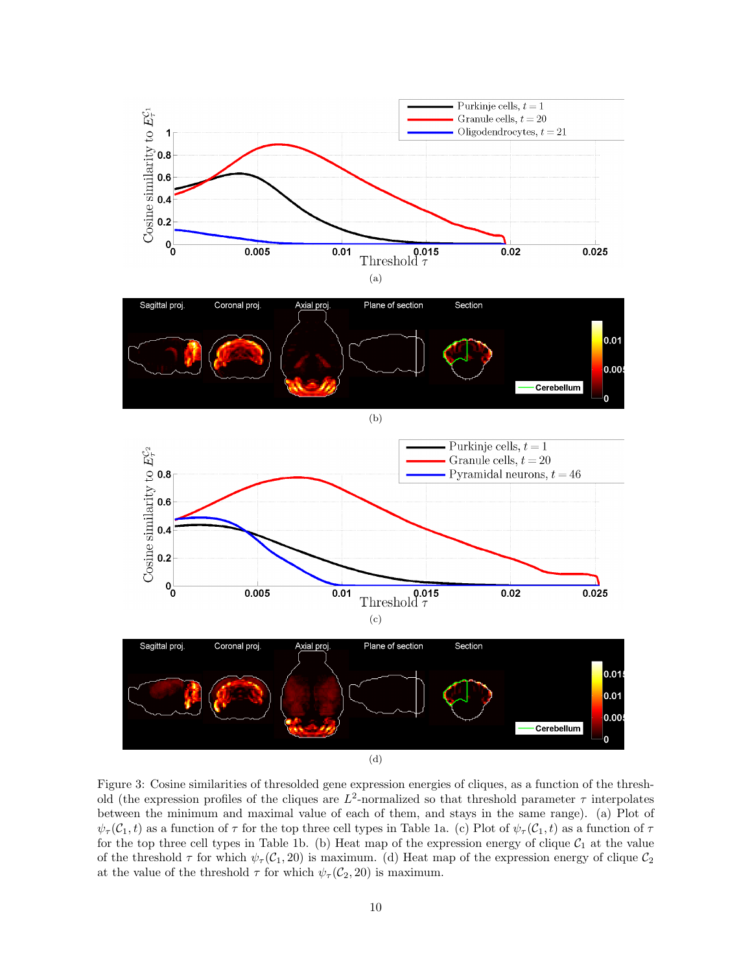<span id="page-9-0"></span>

Figure 3: Cosine similarities of thresolded gene expression energies of cliques, as a function of the threshold (the expression profiles of the cliques are  $L^2$ -normalized so that threshold parameter  $\tau$  interpolates between the minimum and maximal value of each of them, and stays in the same range). (a) Plot of  $\psi_\tau(\mathcal{C}_1, t)$  as a function of  $\tau$  for the top three cell types in Table 1a. (c) Plot of  $\psi_\tau(\mathcal{C}_1, t)$  as a function of  $\tau$ for the top three cell types in Table 1b. (b) Heat map of the expression energy of clique  $C_1$  at the value of the threshold  $\tau$  for which  $\psi_\tau(C_1, 20)$  is maximum. (d) Heat map of the expression energy of clique  $C_2$ at the value of the threshold  $\tau$  for which  $\psi_{\tau}(\mathcal{C}_2, 20)$  is maximum.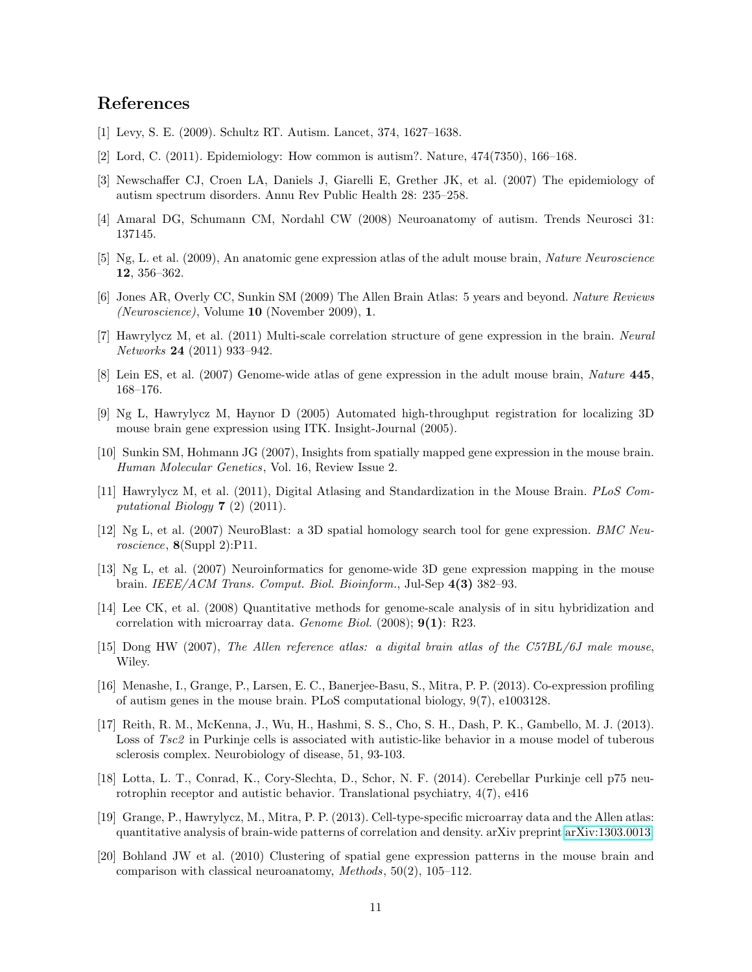#### References

- <span id="page-10-0"></span>[1] Levy, S. E. (2009). Schultz RT. Autism. Lancet, 374, 1627–1638.
- <span id="page-10-1"></span>[2] Lord, C. (2011). Epidemiology: How common is autism?. Nature, 474(7350), 166–168.
- <span id="page-10-2"></span>[3] Newschaffer CJ, Croen LA, Daniels J, Giarelli E, Grether JK, et al. (2007) The epidemiology of autism spectrum disorders. Annu Rev Public Health 28: 235–258.
- <span id="page-10-3"></span>[4] Amaral DG, Schumann CM, Nordahl CW (2008) Neuroanatomy of autism. Trends Neurosci 31: 137145.
- <span id="page-10-4"></span>[5] Ng, L. et al. (2009), An anatomic gene expression atlas of the adult mouse brain, Nature Neuroscience 12, 356–362.
- <span id="page-10-5"></span>[6] Jones AR, Overly CC, Sunkin SM (2009) The Allen Brain Atlas: 5 years and beyond. Nature Reviews (Neuroscience), Volume 10 (November 2009), 1.
- <span id="page-10-6"></span>[7] Hawrylycz M, et al. (2011) Multi-scale correlation structure of gene expression in the brain. Neural Networks 24 (2011) 933–942.
- <span id="page-10-7"></span>[8] Lein ES, et al. (2007) Genome-wide atlas of gene expression in the adult mouse brain, Nature 445, 168–176.
- <span id="page-10-8"></span>[9] Ng L, Hawrylycz M, Haynor D (2005) Automated high-throughput registration for localizing 3D mouse brain gene expression using ITK. Insight-Journal (2005).
- <span id="page-10-9"></span>[10] Sunkin SM, Hohmann JG (2007), Insights from spatially mapped gene expression in the mouse brain. Human Molecular Genetics, Vol. 16, Review Issue 2.
- <span id="page-10-10"></span>[11] Hawrylycz M, et al. (2011), Digital Atlasing and Standardization in the Mouse Brain. PLoS Computational Biology 7 (2) (2011).
- <span id="page-10-11"></span>[12] Ng L, et al. (2007) NeuroBlast: a 3D spatial homology search tool for gene expression. BMC Neuroscience, 8(Suppl 2):P11.
- <span id="page-10-12"></span>[13] Ng L, et al. (2007) Neuroinformatics for genome-wide 3D gene expression mapping in the mouse brain. IEEE/ACM Trans. Comput. Biol. Bioinform., Jul-Sep 4(3) 382–93.
- <span id="page-10-13"></span>[14] Lee CK, et al. (2008) Quantitative methods for genome-scale analysis of in situ hybridization and correlation with microarray data. Genome Biol. (2008); 9(1): R23.
- <span id="page-10-14"></span>[15] Dong HW (2007), The Allen reference atlas: a digital brain atlas of the C57BL/6J male mouse, Wiley.
- <span id="page-10-15"></span>[16] Menashe, I., Grange, P., Larsen, E. C., Banerjee-Basu, S., Mitra, P. P. (2013). Co-expression profiling of autism genes in the mouse brain. PLoS computational biology, 9(7), e1003128.
- <span id="page-10-16"></span>[17] Reith, R. M., McKenna, J., Wu, H., Hashmi, S. S., Cho, S. H., Dash, P. K., Gambello, M. J. (2013). Loss of Tsc2 in Purkinje cells is associated with autistic-like behavior in a mouse model of tuberous sclerosis complex. Neurobiology of disease, 51, 93-103.
- <span id="page-10-17"></span>[18] Lotta, L. T., Conrad, K., Cory-Slechta, D., Schor, N. F. (2014). Cerebellar Purkinje cell p75 neurotrophin receptor and autistic behavior. Translational psychiatry, 4(7), e416
- <span id="page-10-18"></span>[19] Grange, P., Hawrylycz, M., Mitra, P. P. (2013). Cell-type-specific microarray data and the Allen atlas: quantitative analysis of brain-wide patterns of correlation and density. arXiv preprint [arXiv:1303.0013.](http://arxiv.org/abs/1303.0013)
- <span id="page-10-19"></span>[20] Bohland JW et al. (2010) Clustering of spatial gene expression patterns in the mouse brain and comparison with classical neuroanatomy, Methods, 50(2), 105–112.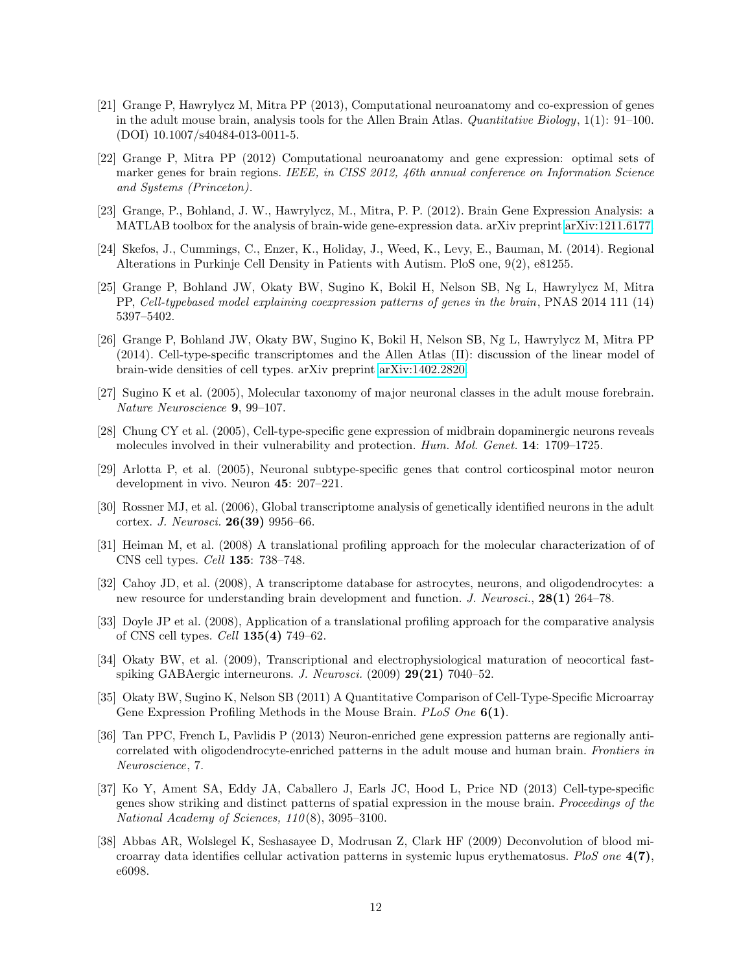- <span id="page-11-0"></span>[21] Grange P, Hawrylycz M, Mitra PP (2013), Computational neuroanatomy and co-expression of genes in the adult mouse brain, analysis tools for the Allen Brain Atlas. Quantitative Biology, 1(1): 91–100. (DOI) 10.1007/s40484-013-0011-5.
- <span id="page-11-1"></span>[22] Grange P, Mitra PP (2012) Computational neuroanatomy and gene expression: optimal sets of marker genes for brain regions. IEEE, in CISS 2012, 46th annual conference on Information Science and Systems (Princeton).
- <span id="page-11-2"></span>[23] Grange, P., Bohland, J. W., Hawrylycz, M., Mitra, P. P. (2012). Brain Gene Expression Analysis: a MATLAB toolbox for the analysis of brain-wide gene-expression data. arXiv preprint [arXiv:1211.6177.](http://arxiv.org/abs/1211.6177)
- <span id="page-11-3"></span>[24] Skefos, J., Cummings, C., Enzer, K., Holiday, J., Weed, K., Levy, E., Bauman, M. (2014). Regional Alterations in Purkinje Cell Density in Patients with Autism. PloS one, 9(2), e81255.
- <span id="page-11-4"></span>[25] Grange P, Bohland JW, Okaty BW, Sugino K, Bokil H, Nelson SB, Ng L, Hawrylycz M, Mitra PP, Cell-typebased model explaining coexpression patterns of genes in the brain, PNAS 2014 111 (14) 5397–5402.
- <span id="page-11-5"></span>[26] Grange P, Bohland JW, Okaty BW, Sugino K, Bokil H, Nelson SB, Ng L, Hawrylycz M, Mitra PP (2014). Cell-type-specific transcriptomes and the Allen Atlas (II): discussion of the linear model of brain-wide densities of cell types. arXiv preprint [arXiv:1402.2820.](http://arxiv.org/abs/1402.2820)
- <span id="page-11-6"></span>[27] Sugino K et al. (2005), Molecular taxonomy of major neuronal classes in the adult mouse forebrain. Nature Neuroscience 9, 99–107.
- <span id="page-11-7"></span>[28] Chung CY et al. (2005), Cell-type-specific gene expression of midbrain dopaminergic neurons reveals molecules involved in their vulnerability and protection. Hum. Mol. Genet. 14: 1709–1725.
- <span id="page-11-8"></span>[29] Arlotta P, et al. (2005), Neuronal subtype-specific genes that control corticospinal motor neuron development in vivo. Neuron 45: 207–221.
- <span id="page-11-9"></span>[30] Rossner MJ, et al. (2006), Global transcriptome analysis of genetically identified neurons in the adult cortex. J. Neurosci. 26(39) 9956–66.
- <span id="page-11-10"></span>[31] Heiman M, et al. (2008) A translational profiling approach for the molecular characterization of of CNS cell types. Cell 135: 738–748.
- <span id="page-11-11"></span>[32] Cahoy JD, et al. (2008), A transcriptome database for astrocytes, neurons, and oligodendrocytes: a new resource for understanding brain development and function. J. Neurosci., 28(1) 264–78.
- <span id="page-11-12"></span>[33] Doyle JP et al. (2008), Application of a translational profiling approach for the comparative analysis of CNS cell types. Cell 135(4) 749–62.
- <span id="page-11-13"></span>[34] Okaty BW, et al. (2009), Transcriptional and electrophysiological maturation of neocortical fastspiking GABAergic interneurons. J. Neurosci. (2009) 29(21) 7040-52.
- <span id="page-11-14"></span>[35] Okaty BW, Sugino K, Nelson SB (2011) A Quantitative Comparison of Cell-Type-Specific Microarray Gene Expression Profiling Methods in the Mouse Brain. PLoS One 6(1).
- <span id="page-11-15"></span>[36] Tan PPC, French L, Pavlidis P (2013) Neuron-enriched gene expression patterns are regionally anticorrelated with oligodendrocyte-enriched patterns in the adult mouse and human brain. Frontiers in Neuroscience, 7.
- <span id="page-11-16"></span>[37] Ko Y, Ament SA, Eddy JA, Caballero J, Earls JC, Hood L, Price ND (2013) Cell-type-specific genes show striking and distinct patterns of spatial expression in the mouse brain. Proceedings of the National Academy of Sciences,  $110(8)$ , 3095-3100.
- <span id="page-11-17"></span>[38] Abbas AR, Wolslegel K, Seshasayee D, Modrusan Z, Clark HF (2009) Deconvolution of blood microarray data identifies cellular activation patterns in systemic lupus erythematosus. PloS one  $4(7)$ , e6098.